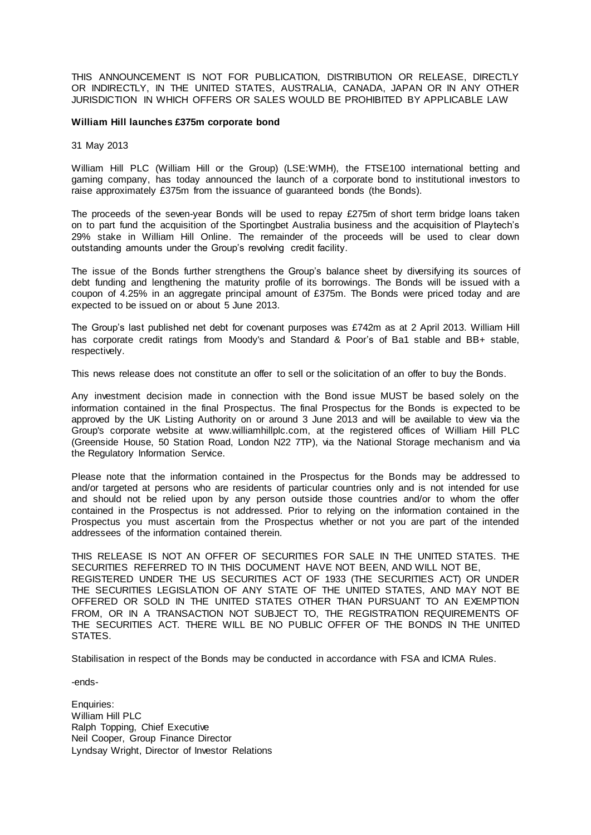THIS ANNOUNCEMENT IS NOT FOR PUBLICATION, DISTRIBUTION OR RELEASE, DIRECTLY OR INDIRECTLY, IN THE UNITED STATES, AUSTRALIA, CANADA, JAPAN OR IN ANY OTHER JURISDICTION IN WHICH OFFERS OR SALES WOULD BE PROHIBITED BY APPLICABLE LAW

## **William Hill launches £375m corporate bond**

31 May 2013

William Hill PLC (William Hill or the Group) (LSE:WMH), the FTSE100 international betting and gaming company, has today announced the launch of a corporate bond to institutional investors to raise approximately £375m from the issuance of guaranteed bonds (the Bonds).

The proceeds of the seven-year Bonds will be used to repay £275m of short term bridge loans taken on to part fund the acquisition of the Sportingbet Australia business and the acquisition of Playtech's 29% stake in William Hill Online. The remainder of the proceeds will be used to clear down outstanding amounts under the Group's revolving credit facility.

The issue of the Bonds further strengthens the Group's balance sheet by diversifying its sources of debt funding and lengthening the maturity profile of its borrowings. The Bonds will be issued with a coupon of 4.25% in an aggregate principal amount of £375m. The Bonds were priced today and are expected to be issued on or about 5 June 2013.

The Group's last published net debt for covenant purposes was £742m as at 2 April 2013. William Hill has corporate credit ratings from Moody's and Standard & Poor's of Ba1 stable and BB+ stable, respectively.

This news release does not constitute an offer to sell or the solicitation of an offer to buy the Bonds.

Any investment decision made in connection with the Bond issue MUST be based solely on the information contained in the final Prospectus. The final Prospectus for the Bonds is expected to be approved by the UK Listing Authority on or around 3 June 2013 and will be available to view via the Group's corporate website at www.williamhillplc.com, at the registered offices of William Hill PLC (Greenside House, 50 Station Road, London N22 7TP), via the National Storage mechanism and via the Regulatory Information Service.

Please note that the information contained in the Prospectus for the Bonds may be addressed to and/or targeted at persons who are residents of particular countries only and is not intended for use and should not be relied upon by any person outside those countries and/or to whom the offer contained in the Prospectus is not addressed. Prior to relying on the information contained in the Prospectus you must ascertain from the Prospectus whether or not you are part of the intended addressees of the information contained therein.

THIS RELEASE IS NOT AN OFFER OF SECURITIES FOR SALE IN THE UNITED STATES. THE SECURITIES REFERRED TO IN THIS DOCUMENT HAVE NOT BEEN, AND WILL NOT BE, REGISTERED UNDER THE US SECURITIES ACT OF 1933 (THE SECURITIES ACT) OR UNDER THE SECURITIES LEGISLATION OF ANY STATE OF THE UNITED STATES, AND MAY NOT BE OFFERED OR SOLD IN THE UNITED STATES OTHER THAN PURSUANT TO AN EXEMPTION FROM, OR IN A TRANSACTION NOT SUBJECT TO, THE REGISTRATION REQUIREMENTS OF THE SECURITIES ACT. THERE WILL BE NO PUBLIC OFFER OF THE BONDS IN THE UNITED STATES.

Stabilisation in respect of the Bonds may be conducted in accordance with FSA and ICMA Rules.

-ends-

Enquiries: William Hill PLC Ralph Topping, Chief Executive Neil Cooper, Group Finance Director Lyndsay Wright, Director of Investor Relations